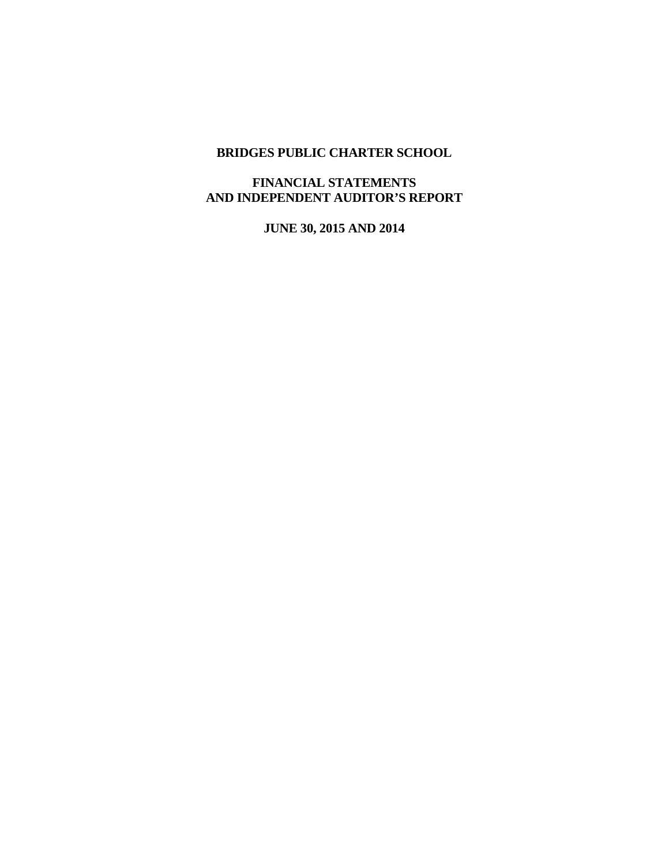# **BRIDGES PUBLIC CHARTER SCHOOL**

# **FINANCIAL STATEMENTS AND INDEPENDENT AUDITOR'S REPORT**

**JUNE 30, 2015 AND 2014**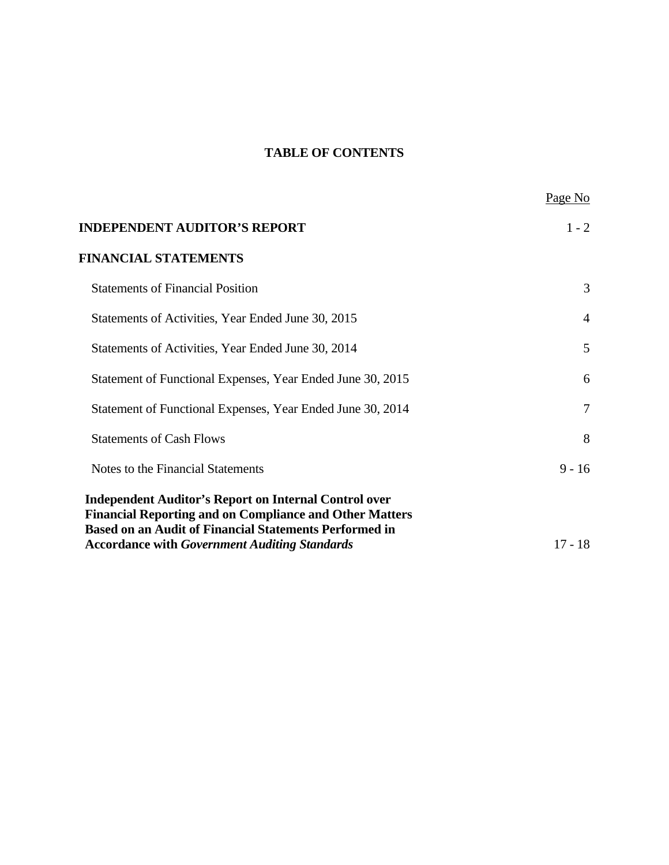# **TABLE OF CONTENTS**

|                                                                                                                                                                                                 | Page No  |
|-------------------------------------------------------------------------------------------------------------------------------------------------------------------------------------------------|----------|
| <b>INDEPENDENT AUDITOR'S REPORT</b>                                                                                                                                                             | $1 - 2$  |
| <b>FINANCIAL STATEMENTS</b>                                                                                                                                                                     |          |
| <b>Statements of Financial Position</b>                                                                                                                                                         | 3        |
| Statements of Activities, Year Ended June 30, 2015                                                                                                                                              | 4        |
| Statements of Activities, Year Ended June 30, 2014                                                                                                                                              | 5        |
| Statement of Functional Expenses, Year Ended June 30, 2015                                                                                                                                      | 6        |
| Statement of Functional Expenses, Year Ended June 30, 2014                                                                                                                                      | $\tau$   |
| <b>Statements of Cash Flows</b>                                                                                                                                                                 | 8        |
| Notes to the Financial Statements                                                                                                                                                               | $9 - 16$ |
| <b>Independent Auditor's Report on Internal Control over</b><br><b>Financial Reporting and on Compliance and Other Matters</b><br><b>Based on an Audit of Financial Statements Performed in</b> |          |
| <b>Accordance with Government Auditing Standards</b>                                                                                                                                            | 17 - 18  |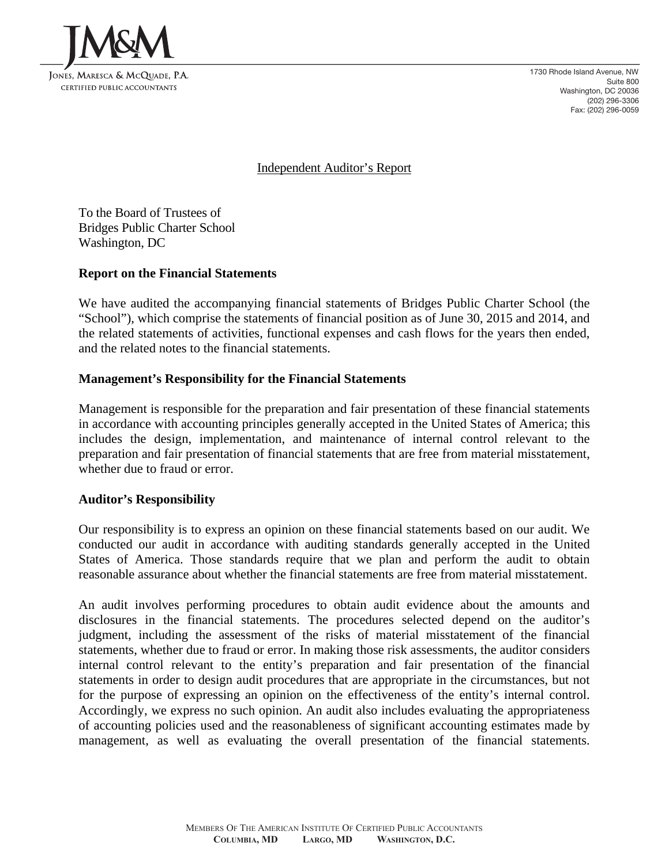

1730 Rhode Island Avenue, NW Suite 800 Washington, DC 20036 (202) 296-3306 Fax: (202) 296-0059

# Independent Auditor's Report

To the Board of Trustees of Bridges Public Charter School Washington, DC

## **Report on the Financial Statements**

We have audited the accompanying financial statements of Bridges Public Charter School (the "School"), which comprise the statements of financial position as of June 30, 2015 and 2014, and the related statements of activities, functional expenses and cash flows for the years then ended, and the related notes to the financial statements.

## **Management's Responsibility for the Financial Statements**

Management is responsible for the preparation and fair presentation of these financial statements in accordance with accounting principles generally accepted in the United States of America; this includes the design, implementation, and maintenance of internal control relevant to the preparation and fair presentation of financial statements that are free from material misstatement, whether due to fraud or error.

#### **Auditor's Responsibility**

Our responsibility is to express an opinion on these financial statements based on our audit. We conducted our audit in accordance with auditing standards generally accepted in the United States of America. Those standards require that we plan and perform the audit to obtain reasonable assurance about whether the financial statements are free from material misstatement.

An audit involves performing procedures to obtain audit evidence about the amounts and disclosures in the financial statements. The procedures selected depend on the auditor's judgment, including the assessment of the risks of material misstatement of the financial statements, whether due to fraud or error. In making those risk assessments, the auditor considers internal control relevant to the entity's preparation and fair presentation of the financial statements in order to design audit procedures that are appropriate in the circumstances, but not for the purpose of expressing an opinion on the effectiveness of the entity's internal control. Accordingly, we express no such opinion. An audit also includes evaluating the appropriateness of accounting policies used and the reasonableness of significant accounting estimates made by management, as well as evaluating the overall presentation of the financial statements.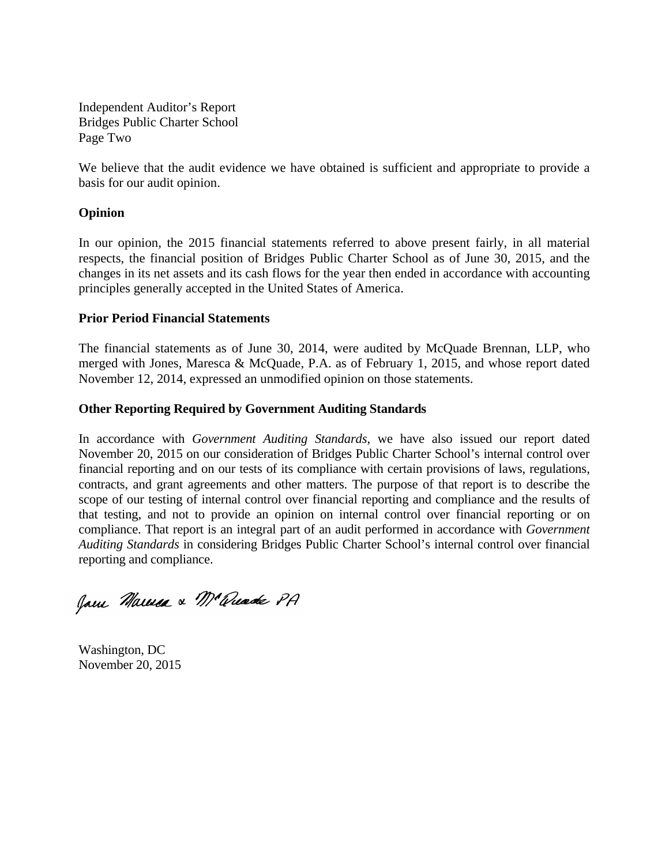Independent Auditor's Report Bridges Public Charter School Page Two

We believe that the audit evidence we have obtained is sufficient and appropriate to provide a basis for our audit opinion.

## **Opinion**

In our opinion, the 2015 financial statements referred to above present fairly, in all material respects, the financial position of Bridges Public Charter School as of June 30, 2015, and the changes in its net assets and its cash flows for the year then ended in accordance with accounting principles generally accepted in the United States of America.

## **Prior Period Financial Statements**

The financial statements as of June 30, 2014, were audited by McQuade Brennan, LLP, who merged with Jones, Maresca & McQuade, P.A. as of February 1, 2015, and whose report dated November 12, 2014, expressed an unmodified opinion on those statements.

## **Other Reporting Required by Government Auditing Standards**

In accordance with *Government Auditing Standards*, we have also issued our report dated November 20, 2015 on our consideration of Bridges Public Charter School's internal control over financial reporting and on our tests of its compliance with certain provisions of laws, regulations, contracts, and grant agreements and other matters. The purpose of that report is to describe the scope of our testing of internal control over financial reporting and compliance and the results of that testing, and not to provide an opinion on internal control over financial reporting or on compliance. That report is an integral part of an audit performed in accordance with *Government Auditing Standards* in considering Bridges Public Charter School's internal control over financial reporting and compliance.

Jam Marma & M. Quade PA

Washington, DC November 20, 2015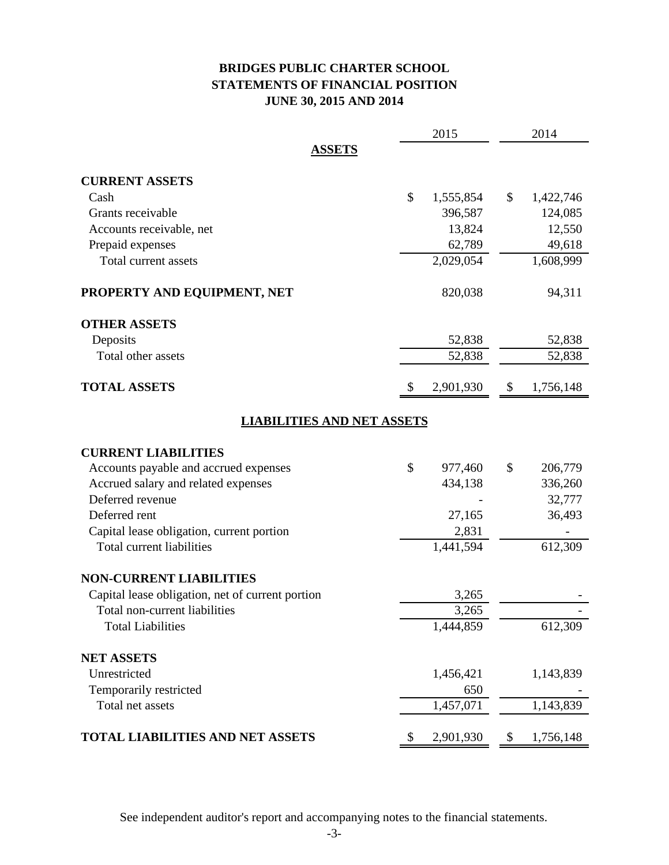# **BRIDGES PUBLIC CHARTER SCHOOL STATEMENTS OF FINANCIAL POSITION JUNE 30, 2015 AND 2014**

|                                                  | 2015            | 2014            |
|--------------------------------------------------|-----------------|-----------------|
| <b>ASSETS</b>                                    |                 |                 |
| <b>CURRENT ASSETS</b>                            |                 |                 |
| Cash                                             | \$<br>1,555,854 | \$<br>1,422,746 |
| Grants receivable                                | 396,587         | 124,085         |
| Accounts receivable, net                         | 13,824          | 12,550          |
| Prepaid expenses                                 | 62,789          | 49,618          |
| Total current assets                             | 2,029,054       | 1,608,999       |
| PROPERTY AND EQUIPMENT, NET                      | 820,038         | 94,311          |
| <b>OTHER ASSETS</b>                              |                 |                 |
| Deposits                                         | 52,838          | 52,838          |
| Total other assets                               | 52,838          | 52,838          |
| <b>TOTAL ASSETS</b>                              | \$<br>2,901,930 | \$<br>1,756,148 |
| <b>LIABILITIES AND NET ASSETS</b>                |                 |                 |
| <b>CURRENT LIABILITIES</b>                       |                 |                 |
| Accounts payable and accrued expenses            | \$<br>977,460   | \$<br>206,779   |
| Accrued salary and related expenses              | 434,138         | 336,260         |
| Deferred revenue                                 |                 | 32,777          |
| Deferred rent                                    | 27,165          | 36,493          |
| Capital lease obligation, current portion        | 2,831           |                 |
| Total current liabilities                        | 1,441,594       | 612,309         |
| <b>NON-CURRENT LIABILITIES</b>                   |                 |                 |
| Capital lease obligation, net of current portion | 3,265           |                 |
| Total non-current liabilities                    | 3,265           |                 |
| <b>Total Liabilities</b>                         | 1,444,859       | 612,309         |
| <b>NET ASSETS</b>                                |                 |                 |
| Unrestricted                                     | 1,456,421       | 1,143,839       |
| Temporarily restricted                           | 650             |                 |
| Total net assets                                 | 1,457,071       | 1,143,839       |
| TOTAL LIABILITIES AND NET ASSETS                 | \$<br>2,901,930 | \$<br>1,756,148 |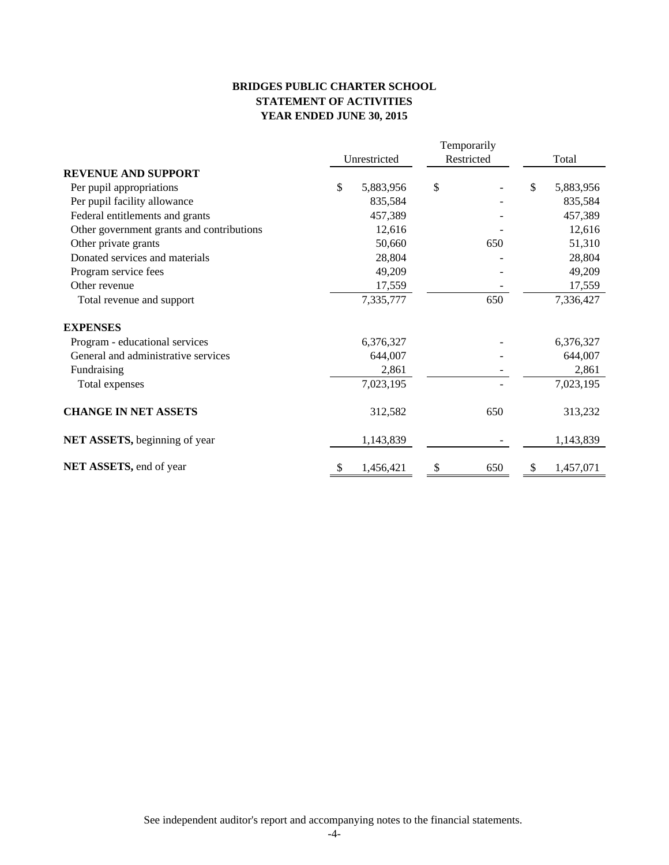## **BRIDGES PUBLIC CHARTER SCHOOL STATEMENT OF ACTIVITIES YEAR ENDED JUNE 30, 2015**

|                                           | Temporarily |              |    |            |    |           |
|-------------------------------------------|-------------|--------------|----|------------|----|-----------|
|                                           |             | Unrestricted |    | Restricted |    | Total     |
| <b>REVENUE AND SUPPORT</b>                |             |              |    |            |    |           |
| Per pupil appropriations                  | \$          | 5,883,956    | \$ |            | \$ | 5,883,956 |
| Per pupil facility allowance              |             | 835,584      |    |            |    | 835,584   |
| Federal entitlements and grants           |             | 457,389      |    |            |    | 457,389   |
| Other government grants and contributions |             | 12,616       |    |            |    | 12,616    |
| Other private grants                      |             | 50,660       |    | 650        |    | 51,310    |
| Donated services and materials            |             | 28,804       |    |            |    | 28,804    |
| Program service fees                      |             | 49,209       |    |            |    | 49,209    |
| Other revenue                             |             | 17,559       |    |            |    | 17,559    |
| Total revenue and support                 |             | 7,335,777    |    | 650        |    | 7,336,427 |
| <b>EXPENSES</b>                           |             |              |    |            |    |           |
| Program - educational services            |             | 6,376,327    |    |            |    | 6,376,327 |
| General and administrative services       |             | 644,007      |    |            |    | 644,007   |
| Fundraising                               |             | 2,861        |    |            |    | 2,861     |
| Total expenses                            |             | 7,023,195    |    |            |    | 7,023,195 |
| <b>CHANGE IN NET ASSETS</b>               |             | 312,582      |    | 650        |    | 313,232   |
| NET ASSETS, beginning of year             |             | 1,143,839    |    |            |    | 1,143,839 |
| NET ASSETS, end of year                   | \$          | 1,456,421    | \$ | 650        | \$ | 1,457,071 |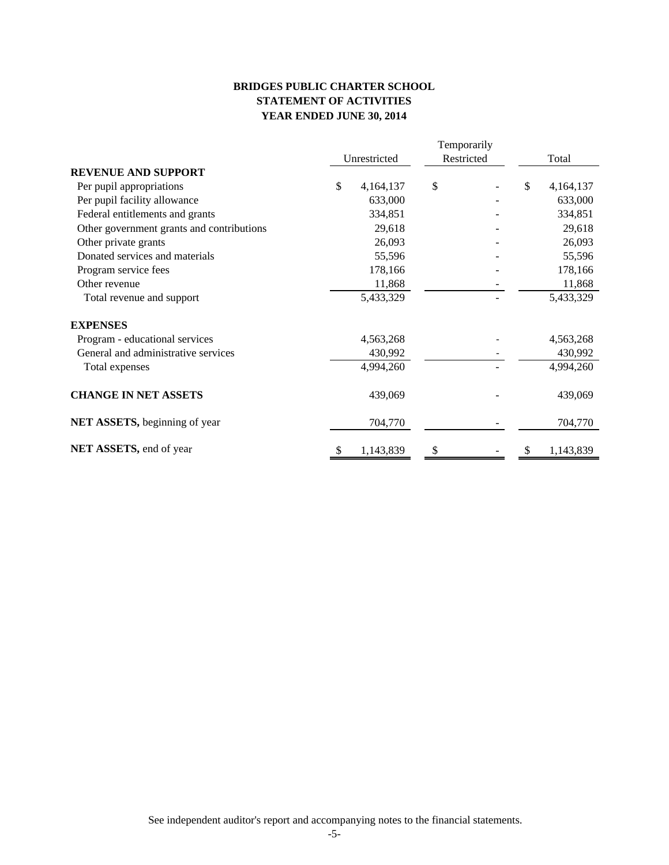## **BRIDGES PUBLIC CHARTER SCHOOL STATEMENT OF ACTIVITIES YEAR ENDED JUNE 30, 2014**

|                                           | Temporarily  |           |            |  |    |           |
|-------------------------------------------|--------------|-----------|------------|--|----|-----------|
|                                           | Unrestricted |           | Restricted |  |    | Total     |
| <b>REVENUE AND SUPPORT</b>                |              |           |            |  |    |           |
| Per pupil appropriations                  | \$           | 4,164,137 | \$         |  | \$ | 4,164,137 |
| Per pupil facility allowance              |              | 633,000   |            |  |    | 633,000   |
| Federal entitlements and grants           |              | 334,851   |            |  |    | 334,851   |
| Other government grants and contributions |              | 29,618    |            |  |    | 29,618    |
| Other private grants                      |              | 26,093    |            |  |    | 26,093    |
| Donated services and materials            |              | 55,596    |            |  |    | 55,596    |
| Program service fees                      |              | 178,166   |            |  |    | 178,166   |
| Other revenue                             |              | 11,868    |            |  |    | 11,868    |
| Total revenue and support                 |              | 5,433,329 |            |  |    | 5,433,329 |
| <b>EXPENSES</b>                           |              |           |            |  |    |           |
| Program - educational services            |              | 4,563,268 |            |  |    | 4,563,268 |
| General and administrative services       |              | 430,992   |            |  |    | 430,992   |
| Total expenses                            |              | 4,994,260 |            |  |    | 4,994,260 |
| <b>CHANGE IN NET ASSETS</b>               |              | 439,069   |            |  |    | 439,069   |
| NET ASSETS, beginning of year             |              | 704,770   |            |  |    | 704,770   |
| NET ASSETS, end of year                   | \$           | 1,143,839 | \$         |  | \$ | 1,143,839 |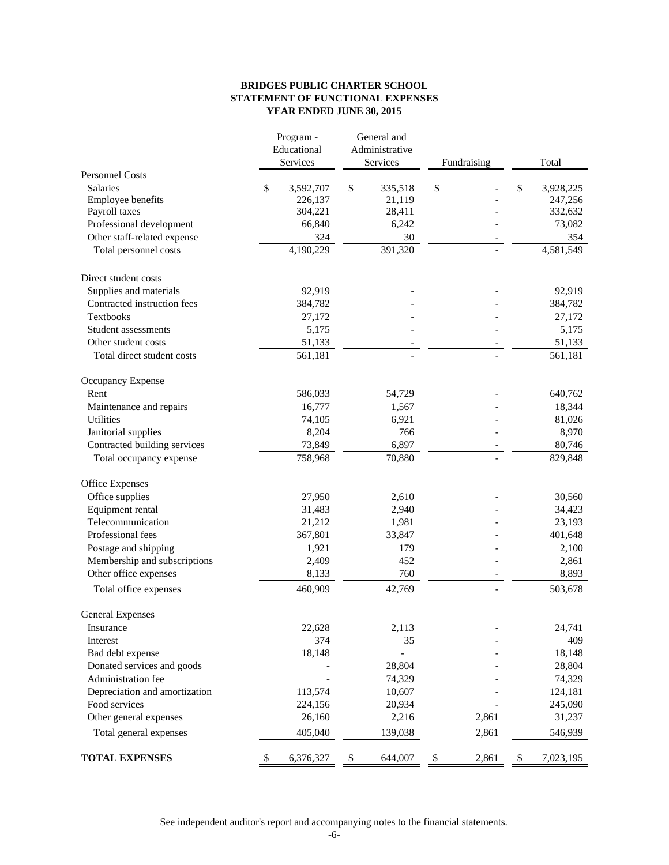#### **BRIDGES PUBLIC CHARTER SCHOOL STATEMENT OF FUNCTIONAL EXPENSES YEAR ENDED JUNE 30, 2015**

|                               | Program -       | General and    |                           |             |                 |
|-------------------------------|-----------------|----------------|---------------------------|-------------|-----------------|
|                               | Educational     | Administrative |                           |             |                 |
|                               | Services        | Services       |                           | Fundraising | Total           |
| <b>Personnel Costs</b>        |                 |                |                           |             |                 |
| <b>Salaries</b>               | \$<br>3,592,707 | \$<br>335,518  | $\boldsymbol{\mathsf{S}}$ |             | \$<br>3,928,225 |
| Employee benefits             | 226,137         | 21,119         |                           |             | 247,256         |
| Payroll taxes                 | 304,221         | 28,411         |                           |             | 332,632         |
| Professional development      | 66,840          | 6,242          |                           |             | 73,082          |
| Other staff-related expense   | 324             | 30             |                           |             | 354             |
| Total personnel costs         | 4,190,229       | 391,320        |                           |             | 4,581,549       |
| Direct student costs          |                 |                |                           |             |                 |
| Supplies and materials        | 92,919          |                |                           |             | 92,919          |
| Contracted instruction fees   | 384,782         |                |                           |             | 384,782         |
| <b>Textbooks</b>              | 27,172          |                |                           |             | 27,172          |
| Student assessments           | 5,175           |                |                           |             | 5,175           |
| Other student costs           | 51,133          |                |                           |             | 51,133          |
| Total direct student costs    | 561,181         |                |                           |             | 561,181         |
| <b>Occupancy Expense</b>      |                 |                |                           |             |                 |
| Rent                          | 586,033         | 54,729         |                           |             | 640,762         |
| Maintenance and repairs       | 16,777          | 1,567          |                           |             | 18,344          |
| <b>Utilities</b>              | 74,105          | 6,921          |                           |             | 81,026          |
| Janitorial supplies           | 8,204           | 766            |                           |             | 8,970           |
| Contracted building services  | 73,849          | 6,897          |                           |             | 80,746          |
| Total occupancy expense       | 758,968         | 70,880         |                           |             | 829,848         |
| <b>Office Expenses</b>        |                 |                |                           |             |                 |
| Office supplies               | 27,950          | 2,610          |                           |             | 30,560          |
| Equipment rental              | 31,483          | 2,940          |                           |             | 34,423          |
| Telecommunication             | 21,212          | 1,981          |                           |             | 23,193          |
| Professional fees             | 367,801         | 33,847         |                           |             | 401,648         |
| Postage and shipping          | 1,921           | 179            |                           |             | 2,100           |
| Membership and subscriptions  | 2,409           | 452            |                           |             | 2,861           |
| Other office expenses         | 8,133           | 760            |                           |             | 8,893           |
| Total office expenses         | 460,909         | 42,769         |                           |             | 503,678         |
| <b>General Expenses</b>       |                 |                |                           |             |                 |
| Insurance                     | 22,628          | 2,113          |                           |             | 24,741          |
| Interest                      | 374             | 35             |                           |             | 409             |
| Bad debt expense              | 18,148          |                |                           |             | 18,148          |
| Donated services and goods    |                 | 28,804         |                           |             | 28,804          |
| Administration fee            |                 | 74,329         |                           |             | 74,329          |
| Depreciation and amortization | 113,574         | 10,607         |                           |             | 124,181         |
| Food services                 | 224,156         | 20,934         |                           |             | 245,090         |
| Other general expenses        | 26,160          | 2,216          |                           | 2,861       | 31,237          |
| Total general expenses        | 405,040         | 139,038        |                           | 2,861       | 546,939         |
| <b>TOTAL EXPENSES</b>         | \$<br>6,376,327 | \$<br>644,007  | \$                        | 2,861       | \$<br>7,023,195 |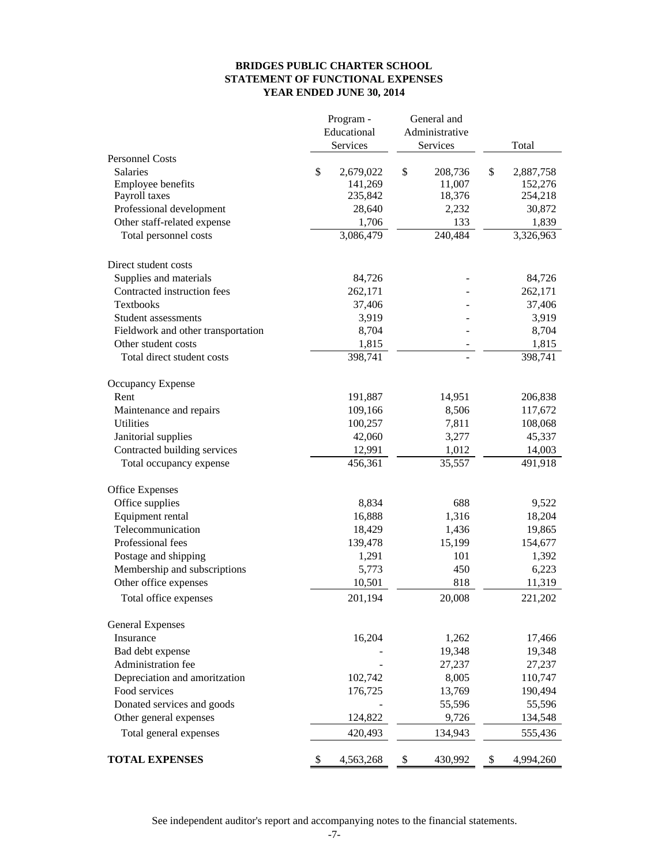#### **BRIDGES PUBLIC CHARTER SCHOOL STATEMENT OF FUNCTIONAL EXPENSES YEAR ENDED JUNE 30, 2014**

|                                    | Program -<br>Educational<br>Services |    | General and<br>Administrative<br><b>Services</b> |    | Total     |
|------------------------------------|--------------------------------------|----|--------------------------------------------------|----|-----------|
| <b>Personnel Costs</b>             |                                      |    |                                                  |    |           |
| <b>Salaries</b>                    | \$<br>2,679,022                      | \$ | 208,736                                          | \$ | 2,887,758 |
| Employee benefits                  | 141,269                              |    | 11,007                                           |    | 152,276   |
| Payroll taxes                      | 235,842                              |    | 18,376                                           |    | 254,218   |
| Professional development           | 28,640                               |    | 2,232                                            |    | 30,872    |
| Other staff-related expense        | 1,706                                |    | 133                                              |    | 1,839     |
| Total personnel costs              | 3,086,479                            |    | 240,484                                          |    | 3,326,963 |
| Direct student costs               |                                      |    |                                                  |    |           |
| Supplies and materials             | 84,726                               |    |                                                  |    | 84,726    |
| Contracted instruction fees        | 262,171                              |    |                                                  |    | 262,171   |
| Textbooks                          | 37,406                               |    |                                                  |    | 37,406    |
| Student assessments                | 3,919                                |    |                                                  |    | 3,919     |
| Fieldwork and other transportation | 8,704                                |    |                                                  |    | 8,704     |
| Other student costs                | 1,815                                |    |                                                  |    | 1,815     |
| Total direct student costs         | 398,741                              |    |                                                  |    | 398,741   |
| Occupancy Expense                  |                                      |    |                                                  |    |           |
| Rent                               | 191,887                              |    | 14,951                                           |    | 206,838   |
| Maintenance and repairs            | 109,166                              |    | 8,506                                            |    | 117,672   |
| <b>Utilities</b>                   | 100,257                              |    | 7,811                                            |    | 108,068   |
| Janitorial supplies                | 42,060                               |    | 3,277                                            |    | 45,337    |
| Contracted building services       | 12,991                               |    | 1,012                                            |    | 14,003    |
| Total occupancy expense            | 456,361                              |    | 35,557                                           |    | 491,918   |
| <b>Office Expenses</b>             |                                      |    |                                                  |    |           |
| Office supplies                    | 8,834                                |    | 688                                              |    | 9,522     |
| Equipment rental                   | 16,888                               |    | 1,316                                            |    | 18,204    |
| Telecommunication                  | 18,429                               |    | 1,436                                            |    | 19,865    |
| Professional fees                  | 139,478                              |    | 15,199                                           |    | 154,677   |
| Postage and shipping               | 1,291                                |    | 101                                              |    | 1,392     |
| Membership and subscriptions       | 5,773                                |    | 450                                              |    | 6,223     |
| Other office expenses              | 10,501                               |    | 818                                              |    | 11,319    |
| Total office expenses              | 201,194                              |    | 20,008                                           |    | 221,202   |
| <b>General Expenses</b>            |                                      |    |                                                  |    |           |
| Insurance                          | 16,204                               |    | 1,262                                            |    | 17,466    |
| Bad debt expense                   |                                      |    | 19,348                                           |    | 19,348    |
| Administration fee                 |                                      |    | 27,237                                           |    | 27,237    |
| Depreciation and amoritzation      | 102,742                              |    | 8,005                                            |    | 110,747   |
| Food services                      | 176,725                              |    | 13,769                                           |    | 190,494   |
| Donated services and goods         |                                      |    | 55,596                                           |    | 55,596    |
| Other general expenses             | 124,822                              |    | 9,726                                            |    | 134,548   |
| Total general expenses             | 420,493                              |    | 134,943                                          |    | 555,436   |
| <b>TOTAL EXPENSES</b>              | \$<br>4,563,268                      | \$ | 430,992                                          | \$ | 4,994,260 |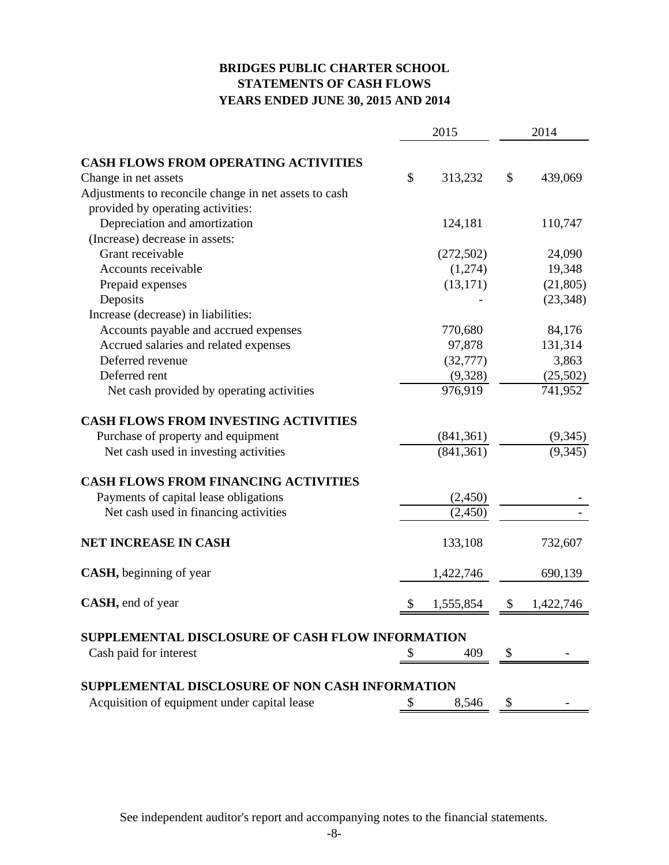# **BRIDGES PUBLIC CHARTER SCHOOL STATEMENTS OF CASH FLOWS YEARS ENDED JUNE 30, 2015 AND 2014**

|                                                         | 2015            | 2014 |           |
|---------------------------------------------------------|-----------------|------|-----------|
| <b>CASH FLOWS FROM OPERATING ACTIVITIES</b>             |                 |      |           |
| Change in net assets                                    | \$<br>313,232   | \$   | 439,069   |
| Adjustments to reconcile change in net assets to cash   |                 |      |           |
| provided by operating activities:                       |                 |      |           |
| Depreciation and amortization                           | 124,181         |      | 110,747   |
| (Increase) decrease in assets:                          |                 |      |           |
| Grant receivable                                        | (272,502)       |      | 24,090    |
| Accounts receivable                                     | (1,274)         |      | 19,348    |
| Prepaid expenses                                        | (13, 171)       |      | (21, 805) |
| Deposits                                                |                 |      | (23, 348) |
| Increase (decrease) in liabilities:                     |                 |      |           |
| Accounts payable and accrued expenses                   | 770,680         |      | 84,176    |
| Accrued salaries and related expenses                   | 97,878          |      | 131,314   |
| Deferred revenue                                        | (32, 777)       |      | 3,863     |
| Deferred rent                                           | (9,328)         |      | (25,502)  |
| Net cash provided by operating activities               | 976,919         |      | 741,952   |
| <b>CASH FLOWS FROM INVESTING ACTIVITIES</b>             |                 |      |           |
| Purchase of property and equipment                      | (841, 361)      |      | (9,345)   |
| Net cash used in investing activities                   | (841, 361)      |      | (9, 345)  |
| <b>CASH FLOWS FROM FINANCING ACTIVITIES</b>             |                 |      |           |
| Payments of capital lease obligations                   | (2,450)         |      |           |
| Net cash used in financing activities                   | (2,450)         |      |           |
| <b>NET INCREASE IN CASH</b>                             | 133,108         |      | 732,607   |
| <b>CASH</b> , beginning of year                         | 1,422,746       |      | 690,139   |
| CASH, end of year                                       | \$<br>1,555,854 | \$   | 1,422,746 |
| <b>SUPPLEMENTAL DISCLOSURE OF CASH FLOW INFORMATION</b> |                 |      |           |
| Cash paid for interest                                  | \$<br>409       | \$   |           |
| SUPPLEMENTAL DISCLOSURE OF NON CASH INFORMATION         |                 |      |           |
| Acquisition of equipment under capital lease            | \$<br>8,546     | \$   |           |
|                                                         |                 |      |           |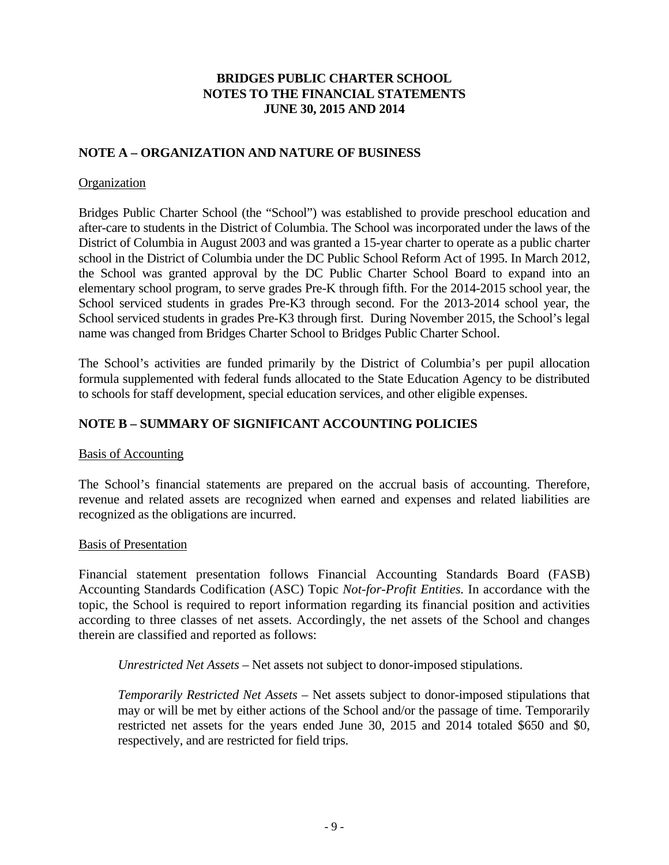# **NOTE A – ORGANIZATION AND NATURE OF BUSINESS**

## **Organization**

Bridges Public Charter School (the "School") was established to provide preschool education and after-care to students in the District of Columbia. The School was incorporated under the laws of the District of Columbia in August 2003 and was granted a 15-year charter to operate as a public charter school in the District of Columbia under the DC Public School Reform Act of 1995. In March 2012, the School was granted approval by the DC Public Charter School Board to expand into an elementary school program, to serve grades Pre-K through fifth. For the 2014-2015 school year, the School serviced students in grades Pre-K3 through second. For the 2013-2014 school year, the School serviced students in grades Pre-K3 through first. During November 2015, the School's legal name was changed from Bridges Charter School to Bridges Public Charter School.

The School's activities are funded primarily by the District of Columbia's per pupil allocation formula supplemented with federal funds allocated to the State Education Agency to be distributed to schools for staff development, special education services, and other eligible expenses.

# **NOTE B – SUMMARY OF SIGNIFICANT ACCOUNTING POLICIES**

## Basis of Accounting

The School's financial statements are prepared on the accrual basis of accounting. Therefore, revenue and related assets are recognized when earned and expenses and related liabilities are recognized as the obligations are incurred.

## Basis of Presentation

Financial statement presentation follows Financial Accounting Standards Board (FASB) Accounting Standards Codification (ASC) Topic *Not-for-Profit Entities.* In accordance with the topic, the School is required to report information regarding its financial position and activities according to three classes of net assets. Accordingly, the net assets of the School and changes therein are classified and reported as follows:

*Unrestricted Net Assets* – Net assets not subject to donor-imposed stipulations.

*Temporarily Restricted Net Assets* – Net assets subject to donor-imposed stipulations that may or will be met by either actions of the School and/or the passage of time. Temporarily restricted net assets for the years ended June 30, 2015 and 2014 totaled \$650 and \$0, respectively, and are restricted for field trips.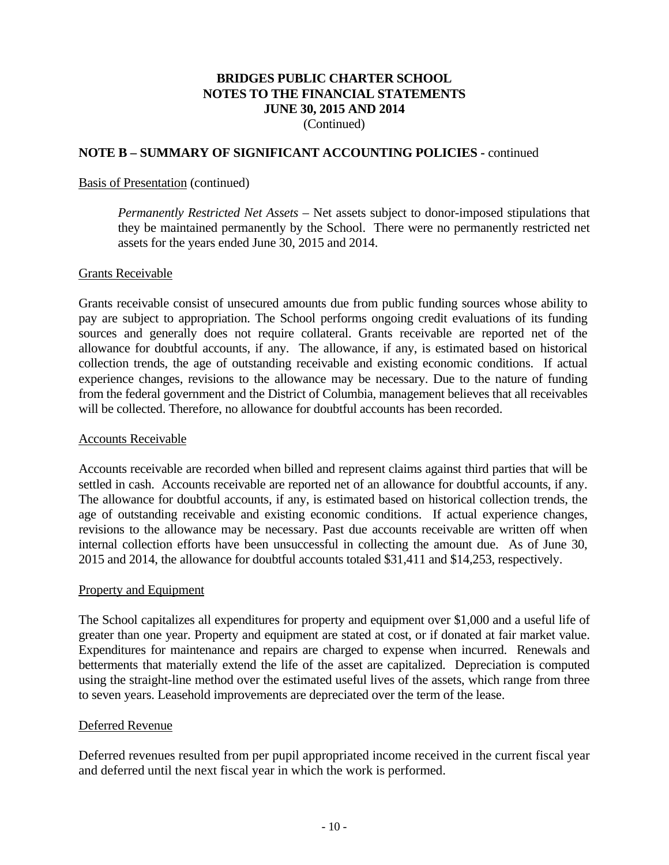(Continued)

## **NOTE B – SUMMARY OF SIGNIFICANT ACCOUNTING POLICIES -** continued

### Basis of Presentation (continued)

*Permanently Restricted Net Assets* – Net assets subject to donor-imposed stipulations that they be maintained permanently by the School. There were no permanently restricted net assets for the years ended June 30, 2015 and 2014.

#### Grants Receivable

Grants receivable consist of unsecured amounts due from public funding sources whose ability to pay are subject to appropriation. The School performs ongoing credit evaluations of its funding sources and generally does not require collateral. Grants receivable are reported net of the allowance for doubtful accounts, if any. The allowance, if any, is estimated based on historical collection trends, the age of outstanding receivable and existing economic conditions. If actual experience changes, revisions to the allowance may be necessary. Due to the nature of funding from the federal government and the District of Columbia, management believes that all receivables will be collected. Therefore, no allowance for doubtful accounts has been recorded.

#### Accounts Receivable

Accounts receivable are recorded when billed and represent claims against third parties that will be settled in cash. Accounts receivable are reported net of an allowance for doubtful accounts, if any. The allowance for doubtful accounts, if any, is estimated based on historical collection trends, the age of outstanding receivable and existing economic conditions. If actual experience changes, revisions to the allowance may be necessary. Past due accounts receivable are written off when internal collection efforts have been unsuccessful in collecting the amount due. As of June 30, 2015 and 2014, the allowance for doubtful accounts totaled \$31,411 and \$14,253, respectively.

## Property and Equipment

The School capitalizes all expenditures for property and equipment over \$1,000 and a useful life of greater than one year. Property and equipment are stated at cost, or if donated at fair market value. Expenditures for maintenance and repairs are charged to expense when incurred. Renewals and betterments that materially extend the life of the asset are capitalized. Depreciation is computed using the straight-line method over the estimated useful lives of the assets, which range from three to seven years. Leasehold improvements are depreciated over the term of the lease.

## Deferred Revenue

Deferred revenues resulted from per pupil appropriated income received in the current fiscal year and deferred until the next fiscal year in which the work is performed.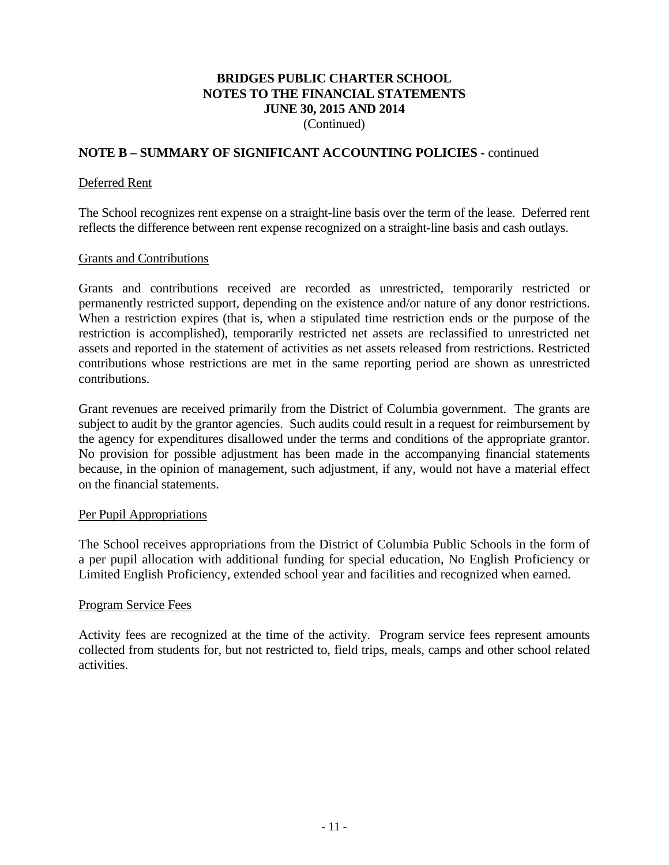(Continued)

## **NOTE B – SUMMARY OF SIGNIFICANT ACCOUNTING POLICIES -** continued

### Deferred Rent

The School recognizes rent expense on a straight-line basis over the term of the lease. Deferred rent reflects the difference between rent expense recognized on a straight-line basis and cash outlays.

#### Grants and Contributions

Grants and contributions received are recorded as unrestricted, temporarily restricted or permanently restricted support, depending on the existence and/or nature of any donor restrictions. When a restriction expires (that is, when a stipulated time restriction ends or the purpose of the restriction is accomplished), temporarily restricted net assets are reclassified to unrestricted net assets and reported in the statement of activities as net assets released from restrictions. Restricted contributions whose restrictions are met in the same reporting period are shown as unrestricted contributions.

Grant revenues are received primarily from the District of Columbia government. The grants are subject to audit by the grantor agencies. Such audits could result in a request for reimbursement by the agency for expenditures disallowed under the terms and conditions of the appropriate grantor. No provision for possible adjustment has been made in the accompanying financial statements because, in the opinion of management, such adjustment, if any, would not have a material effect on the financial statements.

## Per Pupil Appropriations

 The School receives appropriations from the District of Columbia Public Schools in the form of a per pupil allocation with additional funding for special education, No English Proficiency or Limited English Proficiency, extended school year and facilities and recognized when earned.

## Program Service Fees

Activity fees are recognized at the time of the activity. Program service fees represent amounts collected from students for, but not restricted to, field trips, meals, camps and other school related activities.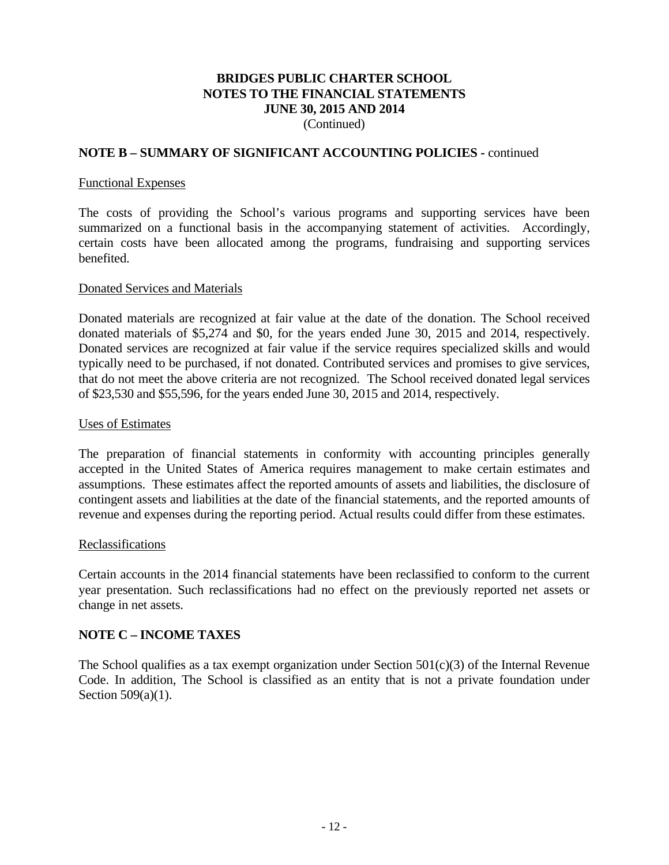(Continued)

## **NOTE B – SUMMARY OF SIGNIFICANT ACCOUNTING POLICIES -** continued

#### Functional Expenses

The costs of providing the School's various programs and supporting services have been summarized on a functional basis in the accompanying statement of activities. Accordingly, certain costs have been allocated among the programs, fundraising and supporting services benefited.

#### Donated Services and Materials

Donated materials are recognized at fair value at the date of the donation. The School received donated materials of \$5,274 and \$0, for the years ended June 30, 2015 and 2014, respectively. Donated services are recognized at fair value if the service requires specialized skills and would typically need to be purchased, if not donated. Contributed services and promises to give services, that do not meet the above criteria are not recognized. The School received donated legal services of \$23,530 and \$55,596, for the years ended June 30, 2015 and 2014, respectively.

#### Uses of Estimates

The preparation of financial statements in conformity with accounting principles generally accepted in the United States of America requires management to make certain estimates and assumptions. These estimates affect the reported amounts of assets and liabilities, the disclosure of contingent assets and liabilities at the date of the financial statements, and the reported amounts of revenue and expenses during the reporting period. Actual results could differ from these estimates.

#### **Reclassifications**

Certain accounts in the 2014 financial statements have been reclassified to conform to the current year presentation. Such reclassifications had no effect on the previously reported net assets or change in net assets.

## **NOTE C – INCOME TAXES**

The School qualifies as a tax exempt organization under Section  $501(c)(3)$  of the Internal Revenue Code. In addition, The School is classified as an entity that is not a private foundation under Section 509(a)(1).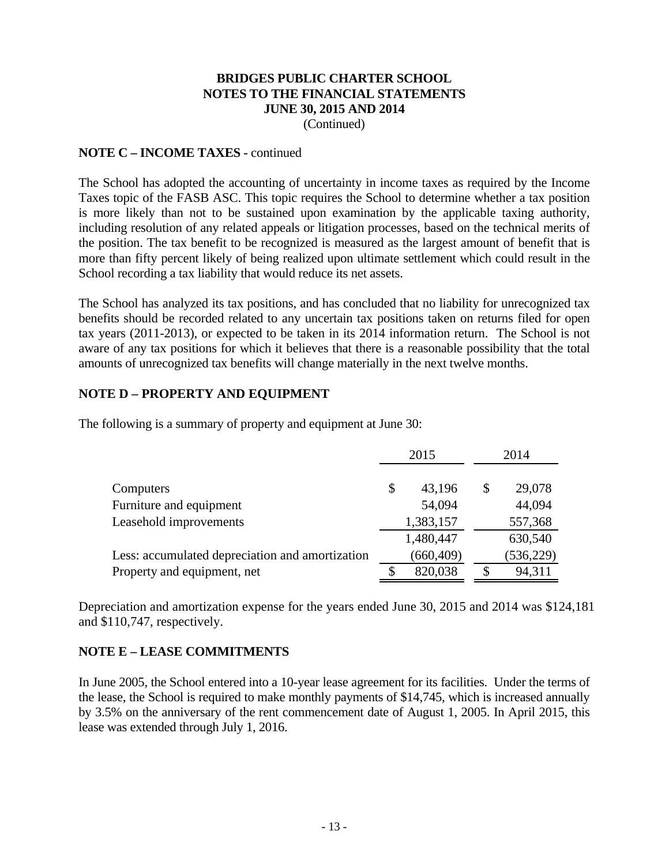(Continued)

## **NOTE C – INCOME TAXES -** continued

The School has adopted the accounting of uncertainty in income taxes as required by the Income Taxes topic of the FASB ASC. This topic requires the School to determine whether a tax position is more likely than not to be sustained upon examination by the applicable taxing authority, including resolution of any related appeals or litigation processes, based on the technical merits of the position. The tax benefit to be recognized is measured as the largest amount of benefit that is more than fifty percent likely of being realized upon ultimate settlement which could result in the School recording a tax liability that would reduce its net assets.

The School has analyzed its tax positions, and has concluded that no liability for unrecognized tax benefits should be recorded related to any uncertain tax positions taken on returns filed for open tax years (2011-2013), or expected to be taken in its 2014 information return. The School is not aware of any tax positions for which it believes that there is a reasonable possibility that the total amounts of unrecognized tax benefits will change materially in the next twelve months.

# **NOTE D – PROPERTY AND EQUIPMENT**

The following is a summary of property and equipment at June 30:

|                                                 |          | 2015       |    | 2014       |
|-------------------------------------------------|----------|------------|----|------------|
| Computers                                       | \$       | 43,196     | S  | 29,078     |
| Furniture and equipment                         |          | 54,094     |    | 44,094     |
| Leasehold improvements                          |          | 1,383,157  |    | 557,368    |
|                                                 |          | 1,480,447  |    | 630,540    |
| Less: accumulated depreciation and amortization |          | (660, 409) |    | (536, 229) |
| Property and equipment, net                     | <b>S</b> | 820,038    | \$ | 94,311     |

Depreciation and amortization expense for the years ended June 30, 2015 and 2014 was \$124,181 and \$110,747, respectively.

# **NOTE E – LEASE COMMITMENTS**

In June 2005, the School entered into a 10-year lease agreement for its facilities. Under the terms of the lease, the School is required to make monthly payments of \$14,745, which is increased annually by 3.5% on the anniversary of the rent commencement date of August 1, 2005. In April 2015, this lease was extended through July 1, 2016.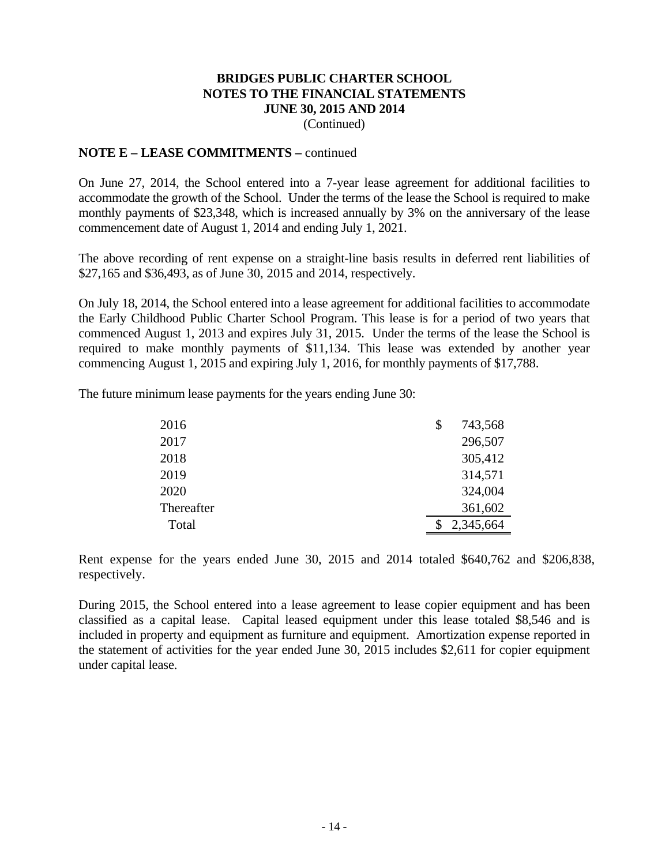(Continued)

## **NOTE E – LEASE COMMITMENTS –** continued

On June 27, 2014, the School entered into a 7-year lease agreement for additional facilities to accommodate the growth of the School. Under the terms of the lease the School is required to make monthly payments of \$23,348, which is increased annually by 3% on the anniversary of the lease commencement date of August 1, 2014 and ending July 1, 2021.

The above recording of rent expense on a straight-line basis results in deferred rent liabilities of \$27,165 and \$36,493, as of June 30, 2015 and 2014, respectively.

On July 18, 2014, the School entered into a lease agreement for additional facilities to accommodate the Early Childhood Public Charter School Program. This lease is for a period of two years that commenced August 1, 2013 and expires July 31, 2015. Under the terms of the lease the School is required to make monthly payments of \$11,134. This lease was extended by another year commencing August 1, 2015 and expiring July 1, 2016, for monthly payments of \$17,788.

The future minimum lease payments for the years ending June 30:

| 2016       | \$<br>743,568 |
|------------|---------------|
| 2017       | 296,507       |
| 2018       | 305,412       |
| 2019       | 314,571       |
| 2020       | 324,004       |
| Thereafter | 361,602       |
| Total      | 2,345,664     |

Rent expense for the years ended June 30, 2015 and 2014 totaled \$640,762 and \$206,838, respectively.

During 2015, the School entered into a lease agreement to lease copier equipment and has been classified as a capital lease. Capital leased equipment under this lease totaled \$8,546 and is included in property and equipment as furniture and equipment. Amortization expense reported in the statement of activities for the year ended June 30, 2015 includes \$2,611 for copier equipment under capital lease.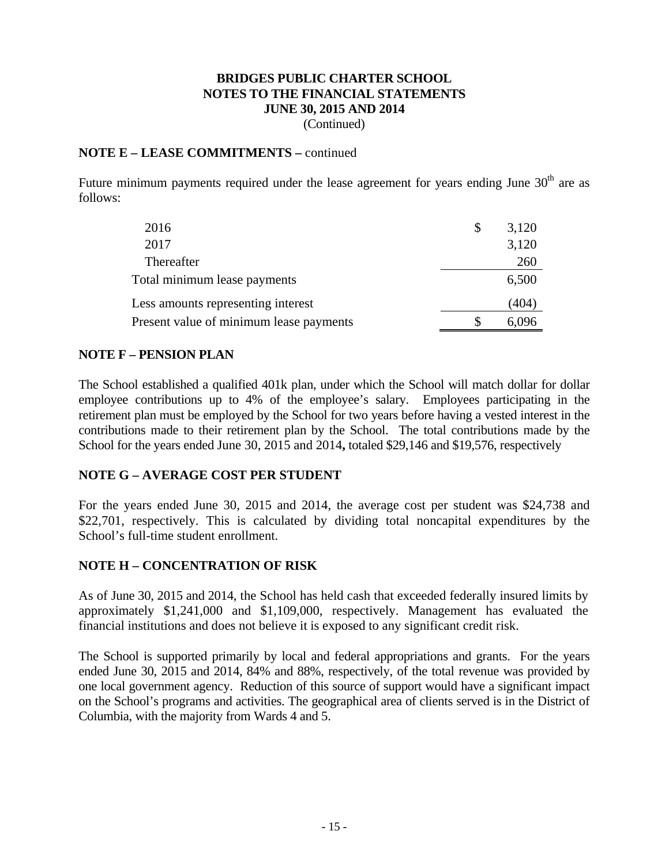(Continued)

## **NOTE E – LEASE COMMITMENTS –** continued

Future minimum payments required under the lease agreement for years ending June  $30<sup>th</sup>$  are as follows:

| 2016                                    | 3,120 |
|-----------------------------------------|-------|
| 2017                                    | 3,120 |
| Thereafter                              | 260   |
| Total minimum lease payments            | 6,500 |
| Less amounts representing interest      | (404) |
| Present value of minimum lease payments | 6,096 |

# **NOTE F – PENSION PLAN**

The School established a qualified 401k plan, under which the School will match dollar for dollar employee contributions up to 4% of the employee's salary. Employees participating in the retirement plan must be employed by the School for two years before having a vested interest in the contributions made to their retirement plan by the School. The total contributions made by the School for the years ended June 30, 2015 and 2014**,** totaled \$29,146 and \$19,576, respectively

# **NOTE G – AVERAGE COST PER STUDENT**

For the years ended June 30, 2015 and 2014, the average cost per student was \$24,738 and \$22,701, respectively. This is calculated by dividing total noncapital expenditures by the School's full-time student enrollment.

## **NOTE H – CONCENTRATION OF RISK**

As of June 30, 2015 and 2014, the School has held cash that exceeded federally insured limits by approximately \$1,241,000 and \$1,109,000, respectively. Management has evaluated the financial institutions and does not believe it is exposed to any significant credit risk.

The School is supported primarily by local and federal appropriations and grants. For the years ended June 30, 2015 and 2014, 84% and 88%, respectively, of the total revenue was provided by one local government agency. Reduction of this source of support would have a significant impact on the School's programs and activities. The geographical area of clients served is in the District of Columbia, with the majority from Wards 4 and 5.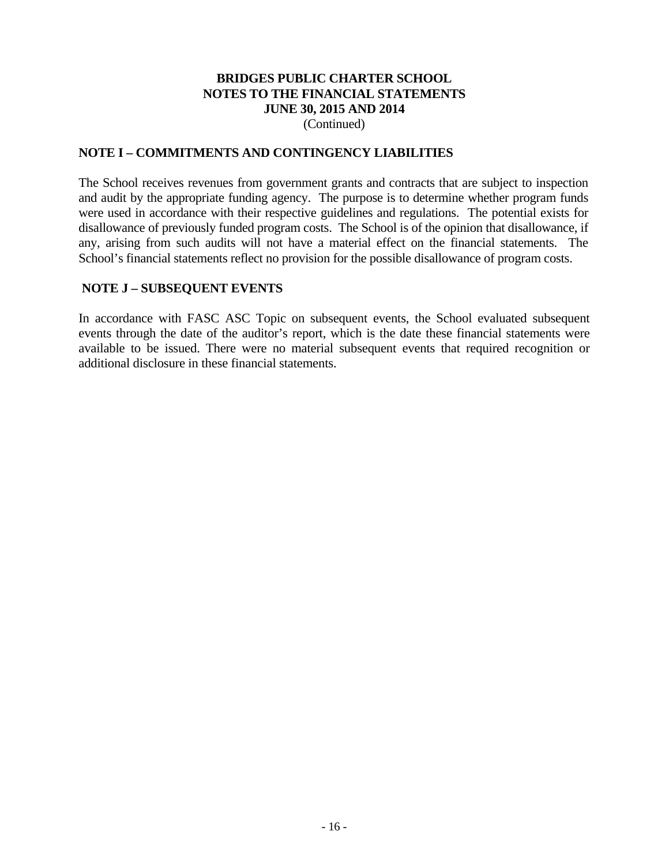(Continued)

# **NOTE I – COMMITMENTS AND CONTINGENCY LIABILITIES**

The School receives revenues from government grants and contracts that are subject to inspection and audit by the appropriate funding agency. The purpose is to determine whether program funds were used in accordance with their respective guidelines and regulations. The potential exists for disallowance of previously funded program costs. The School is of the opinion that disallowance, if any, arising from such audits will not have a material effect on the financial statements. The School's financial statements reflect no provision for the possible disallowance of program costs.

# **NOTE J – SUBSEQUENT EVENTS**

In accordance with FASC ASC Topic on subsequent events, the School evaluated subsequent events through the date of the auditor's report, which is the date these financial statements were available to be issued. There were no material subsequent events that required recognition or additional disclosure in these financial statements.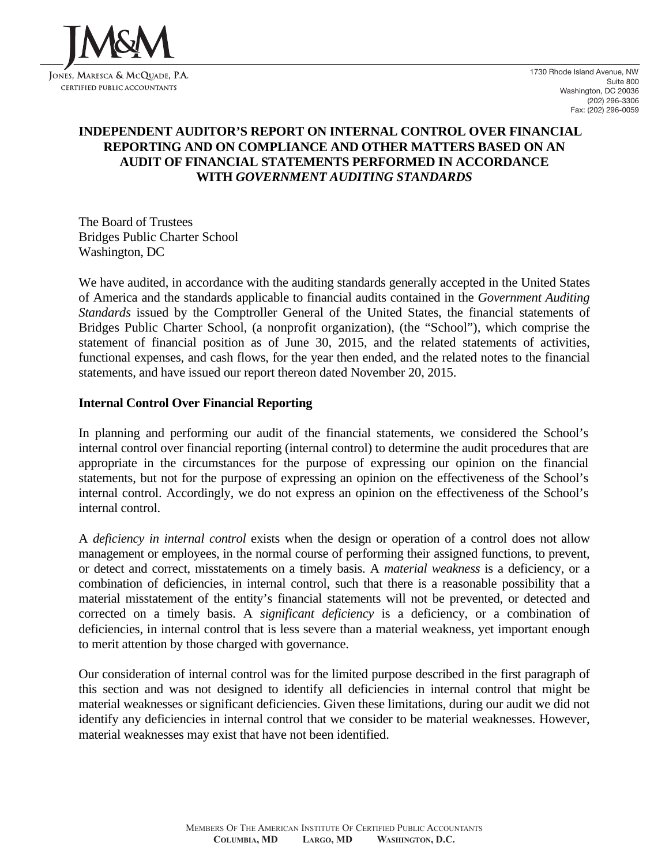

# **INDEPENDENT AUDITOR'S REPORT ON INTERNAL CONTROL OVER FINANCIAL REPORTING AND ON COMPLIANCE AND OTHER MATTERS BASED ON AN AUDIT OF FINANCIAL STATEMENTS PERFORMED IN ACCORDANCE WITH** *GOVERNMENT AUDITING STANDARDS*

The Board of Trustees Bridges Public Charter School Washington, DC

We have audited, in accordance with the auditing standards generally accepted in the United States of America and the standards applicable to financial audits contained in the *Government Auditing Standards* issued by the Comptroller General of the United States, the financial statements of Bridges Public Charter School, (a nonprofit organization), (the "School"), which comprise the statement of financial position as of June 30, 2015, and the related statements of activities, functional expenses, and cash flows, for the year then ended, and the related notes to the financial statements, and have issued our report thereon dated November 20, 2015.

## **Internal Control Over Financial Reporting**

In planning and performing our audit of the financial statements, we considered the School's internal control over financial reporting (internal control) to determine the audit procedures that are appropriate in the circumstances for the purpose of expressing our opinion on the financial statements, but not for the purpose of expressing an opinion on the effectiveness of the School's internal control. Accordingly, we do not express an opinion on the effectiveness of the School's internal control.

A *deficiency in internal control* exists when the design or operation of a control does not allow management or employees, in the normal course of performing their assigned functions, to prevent, or detect and correct, misstatements on a timely basis. A *material weakness* is a deficiency, or a combination of deficiencies, in internal control, such that there is a reasonable possibility that a material misstatement of the entity's financial statements will not be prevented, or detected and corrected on a timely basis. A *significant deficiency* is a deficiency, or a combination of deficiencies, in internal control that is less severe than a material weakness, yet important enough to merit attention by those charged with governance.

Our consideration of internal control was for the limited purpose described in the first paragraph of this section and was not designed to identify all deficiencies in internal control that might be material weaknesses or significant deficiencies. Given these limitations, during our audit we did not identify any deficiencies in internal control that we consider to be material weaknesses. However, material weaknesses may exist that have not been identified.